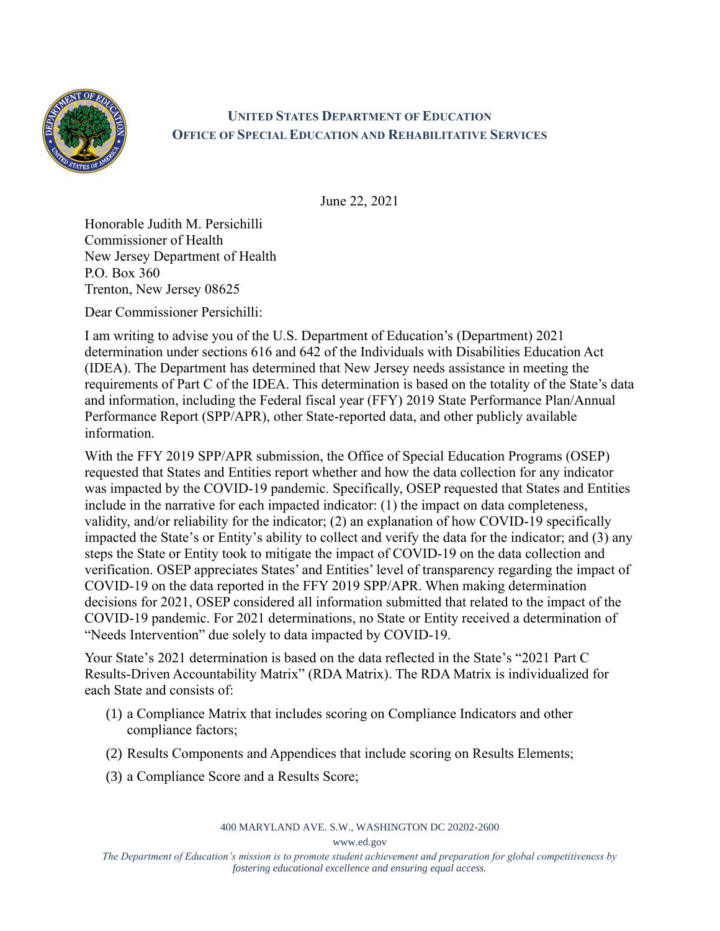

## **UNITED STATES DEPARTMENT OF EDUCATION OFFICE OF SPECIAL EDUCATION AND REHABILITATIVE SERVICES**

June 22, 2021

Honorable Judith M. Persichilli Commissioner of Health New Jersey Department of Health P.O. Box 360 Trenton, New Jersey 08625

Dear Commissioner Persichilli:

I am writing to advise you of the U.S. Department of Education's (Department) 2021 determination under sections 616 and 642 of the Individuals with Disabilities Education Act (IDEA). The Department has determined that New Jersey needs assistance in meeting the requirements of Part C of the IDEA. This determination is based on the totality of the State's data and information, including the Federal fiscal year (FFY) 2019 State Performance Plan/Annual Performance Report (SPP/APR), other State-reported data, and other publicly available information.

With the FFY 2019 SPP/APR submission, the Office of Special Education Programs (OSEP) requested that States and Entities report whether and how the data collection for any indicator was impacted by the COVID-19 pandemic. Specifically, OSEP requested that States and Entities include in the narrative for each impacted indicator: (1) the impact on data completeness, validity, and/or reliability for the indicator; (2) an explanation of how COVID-19 specifically impacted the State's or Entity's ability to collect and verify the data for the indicator; and (3) any steps the State or Entity took to mitigate the impact of COVID-19 on the data collection and verification. OSEP appreciates States' and Entities' level of transparency regarding the impact of COVID-19 on the data reported in the FFY 2019 SPP/APR. When making determination decisions for 2021, OSEP considered all information submitted that related to the impact of the COVID-19 pandemic. For 2021 determinations, no State or Entity received a determination of "Needs Intervention" due solely to data impacted by COVID-19.

Your State's 2021 determination is based on the data reflected in the State's "2021 Part C Results-Driven Accountability Matrix" (RDA Matrix). The RDA Matrix is individualized for each State and consists of:

- (1) a Compliance Matrix that includes scoring on Compliance Indicators and other compliance factors;
- (2) Results Components and Appendices that include scoring on Results Elements;
- (3) a Compliance Score and a Results Score;

400 MARYLAND AVE. S.W., WASHINGTON DC 20202-2600

www.ed.gov

*The Department of Education's mission is to promote student achievement and preparation for global competitiveness by fostering educational excellence and ensuring equal access.*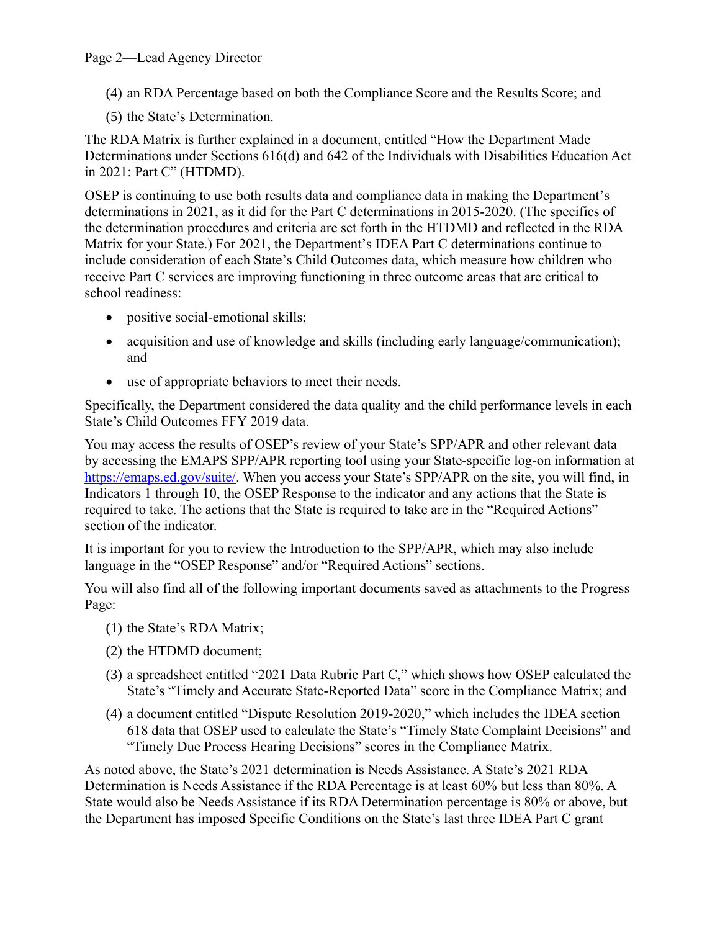## Page 2—Lead Agency Director

- (4) an RDA Percentage based on both the Compliance Score and the Results Score; and
- (5) the State's Determination.

The RDA Matrix is further explained in a document, entitled "How the Department Made Determinations under Sections 616(d) and 642 of the Individuals with Disabilities Education Act in 2021: Part C" (HTDMD).

OSEP is continuing to use both results data and compliance data in making the Department's determinations in 2021, as it did for the Part C determinations in 2015-2020. (The specifics of the determination procedures and criteria are set forth in the HTDMD and reflected in the RDA Matrix for your State.) For 2021, the Department's IDEA Part C determinations continue to include consideration of each State's Child Outcomes data, which measure how children who receive Part C services are improving functioning in three outcome areas that are critical to school readiness:

- positive social-emotional skills;
- acquisition and use of knowledge and skills (including early language/communication); and
- use of appropriate behaviors to meet their needs.

Specifically, the Department considered the data quality and the child performance levels in each State's Child Outcomes FFY 2019 data.

You may access the results of OSEP's review of your State's SPP/APR and other relevant data by accessing the EMAPS SPP/APR reporting tool using your State-specific log-on information at [https://emaps.ed.gov/suite/.](https://emaps.ed.gov/suite/) When you access your State's SPP/APR on the site, you will find, in Indicators 1 through 10, the OSEP Response to the indicator and any actions that the State is required to take. The actions that the State is required to take are in the "Required Actions" section of the indicator.

It is important for you to review the Introduction to the SPP/APR, which may also include language in the "OSEP Response" and/or "Required Actions" sections.

You will also find all of the following important documents saved as attachments to the Progress Page:

- (1) the State's RDA Matrix;
- (2) the HTDMD document;
- (3) a spreadsheet entitled "2021 Data Rubric Part C," which shows how OSEP calculated the State's "Timely and Accurate State-Reported Data" score in the Compliance Matrix; and
- (4) a document entitled "Dispute Resolution 2019-2020," which includes the IDEA section 618 data that OSEP used to calculate the State's "Timely State Complaint Decisions" and "Timely Due Process Hearing Decisions" scores in the Compliance Matrix.

As noted above, the State's 2021 determination is Needs Assistance. A State's 2021 RDA Determination is Needs Assistance if the RDA Percentage is at least 60% but less than 80%. A State would also be Needs Assistance if its RDA Determination percentage is 80% or above, but the Department has imposed Specific Conditions on the State's last three IDEA Part C grant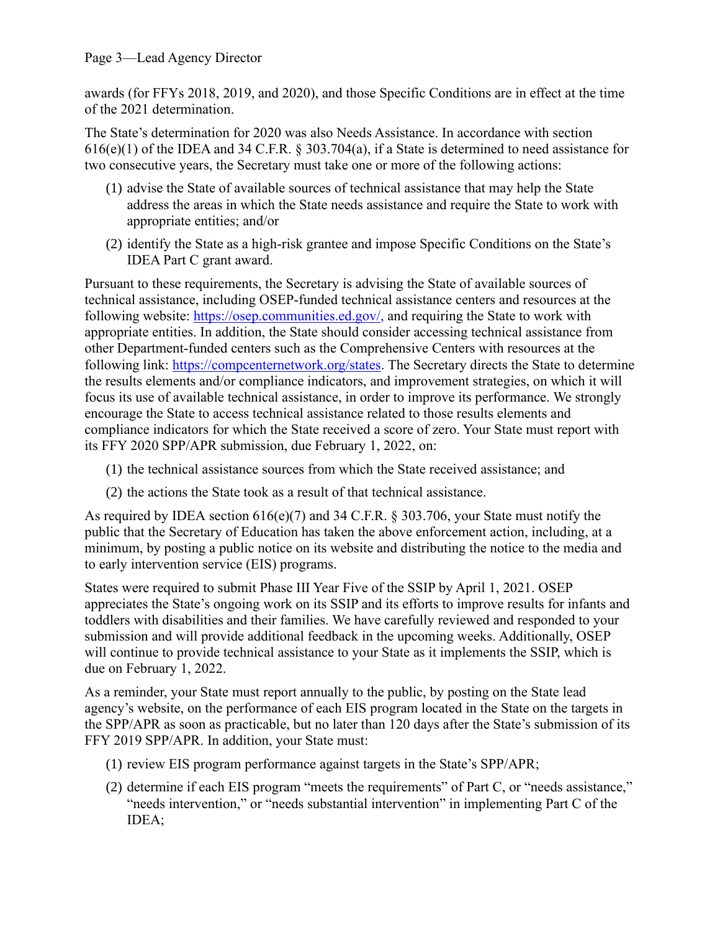awards (for FFYs 2018, 2019, and 2020), and those Specific Conditions are in effect at the time of the 2021 determination.

The State's determination for 2020 was also Needs Assistance. In accordance with section 616(e)(1) of the IDEA and 34 C.F.R. § 303.704(a), if a State is determined to need assistance for two consecutive years, the Secretary must take one or more of the following actions:

- (1) advise the State of available sources of technical assistance that may help the State address the areas in which the State needs assistance and require the State to work with appropriate entities; and/or
- (2) identify the State as a high-risk grantee and impose Specific Conditions on the State's IDEA Part C grant award.

Pursuant to these requirements, the Secretary is advising the State of available sources of technical assistance, including OSEP-funded technical assistance centers and resources at the following website: [https://osep.communities.ed.gov/,](https://osep.communities.ed.gov/) and requiring the State to work with appropriate entities. In addition, the State should consider accessing technical assistance from other Department-funded centers such as the Comprehensive Centers with resources at the following link: [https://compcenternetwork.org/states.](https://compcenternetwork.org/states) The Secretary directs the State to determine the results elements and/or compliance indicators, and improvement strategies, on which it will focus its use of available technical assistance, in order to improve its performance. We strongly encourage the State to access technical assistance related to those results elements and compliance indicators for which the State received a score of zero. Your State must report with its FFY 2020 SPP/APR submission, due February 1, 2022, on:

- (1) the technical assistance sources from which the State received assistance; and
- (2) the actions the State took as a result of that technical assistance.

As required by IDEA section 616(e)(7) and 34 C.F.R. § 303.706, your State must notify the public that the Secretary of Education has taken the above enforcement action, including, at a minimum, by posting a public notice on its website and distributing the notice to the media and to early intervention service (EIS) programs.

States were required to submit Phase III Year Five of the SSIP by April 1, 2021. OSEP appreciates the State's ongoing work on its SSIP and its efforts to improve results for infants and toddlers with disabilities and their families. We have carefully reviewed and responded to your submission and will provide additional feedback in the upcoming weeks. Additionally, OSEP will continue to provide technical assistance to your State as it implements the SSIP, which is due on February 1, 2022.

As a reminder, your State must report annually to the public, by posting on the State lead agency's website, on the performance of each EIS program located in the State on the targets in the SPP/APR as soon as practicable, but no later than 120 days after the State's submission of its FFY 2019 SPP/APR. In addition, your State must:

- (1) review EIS program performance against targets in the State's SPP/APR;
- (2) determine if each EIS program "meets the requirements" of Part C, or "needs assistance," "needs intervention," or "needs substantial intervention" in implementing Part C of the IDEA;